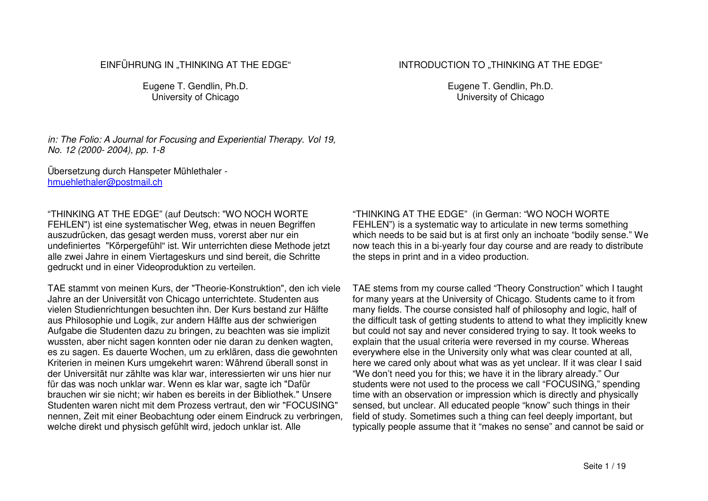## EINFÜHRUNG IN "THINKING AT THE EDGE"

Eugene T. Gendlin, Ph.D. University of Chicago

*in: The Folio: A Journal for Focusing and Experiential Therapy. Vol 19, No. 12 (2000- 2004), pp. 1-8*

Übersetzung durch Hanspeter Mühlethaler hmuehlethaler@postmail.ch

"THINKING AT THE EDGE" (auf Deutsch: "WO NOCH WORTE FEHLEN") ist eine systematischer Weg, etwas in neuen Begriffen auszudrücken, das gesagt werden muss, vorerst aber nur ein undefiniertes "Körpergefühl" ist. Wir unterrichten diese Methode jetzt alle zwei Jahre in einem Viertageskurs und sind bereit, die Schritte gedruckt und in einer Videoproduktion zu verteilen.

TAE stammt von meinen Kurs, der "Theorie-Konstruktion", den ich viele Jahre an der Universität von Chicago unterrichtete. Studenten aus vielen Studienrichtungen besuchten ihn. Der Kurs bestand zur Hälfte aus Philosophie und Logik, zur andern Hälfte aus der schwierigen Aufgabe die Studenten dazu zu bringen, zu beachten was sie implizit wussten, aber nicht sagen konnten oder nie daran zu denken wagten, es zu sagen. Es dauerte Wochen, um zu erklären, dass die gewohnten Kriterien in meinen Kurs umgekehrt waren: Während überall sonst in der Universität nur zählte was klar war, interessierten wir uns hier nur für das was noch unklar war. Wenn es klar war, sagte ich "Dafür brauchen wir sie nicht; wir haben es bereits in der Bibliothek." Unsere Studenten waren nicht mit dem Prozess vertraut, den wir "FOCUSING" nennen, Zeit mit einer Beobachtung oder einem Eindruck zu verbringen, welche direkt und physisch gefühlt wird, jedoch unklar ist. Alle

"THINKING AT THE EDGE" (in German: "WO NOCH WORTE FEHLEN") is <sup>a</sup> systematic way to articulate in new terms something which needs to be said but is at first only an inchoate "bodily sense." We now teach this in <sup>a</sup> bi-yearly four day course and are ready to distribute the steps in print and in <sup>a</sup> video production.

TAE stems from my course called "Theory Construction" which I taught for many years at the University of Chicago. Students came to it from many fields. The course consisted half of philosophy and logic, half of the difficult task of getting students to attend to what they implicitly knew but could not say and never considered trying to say. It took weeks to explain that the usual criteria were reversed in my course. Whereas everywhere else in the University only what was clear counted at all, here we cared only about what was as yet unclear. If it was clear I said "We don't need you for this; we have it in the library already." Our students were not used to the process we call "FOCUSING," spending time with an observation or impression which is directly and physically sensed, but unclear. All educated people "know" such things in their field of study. Sometimes such <sup>a</sup> thing can feel deeply important, but typically people assume that it "makes no sense" and cannot be said or

Eugene T. Gendlin, Ph.D. University of Chicago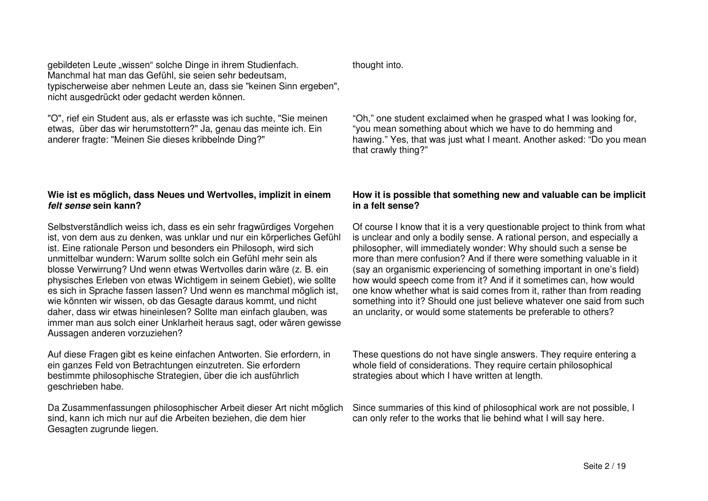gebildeten Leute "wissen" solche Dinge in ihrem Studienfach. Manchmal hat man das Gefühl, sie seien sehr bedeutsam, typischerweise aber nehmen Leute an, dass sie "keinen Sinn ergeben", nicht ausgedrückt oder gedacht werden können.

"O", rief ein Student aus, als er erfasste was ich suchte, "Sie meinen etwas, über das wir herumstottern?" Ja, genau das meinte ich. Ein anderer fragte: "Meinen Sie dieses kribbelnde Ding?"

# **Wie ist es möglich, dass Neues und Wertvolles, implizit in einem** *felt sense* **sein kann?**

Selbstverständlich weiss ich, dass es ein sehr fragwürdiges Vorgehen ist, von dem aus zu denken, was unklar und nur ein körperliches Gefühl ist. Eine rationale Person und besonders ein Philosoph, wird sich unmittelbar wundern: Warum sollte solch ein Gefühl mehr sein als blosse Verwirrung? Und wenn etwas Wertvolles darin wäre (z. B. ein physisches Erleben von etwas Wichtigem in seinem Gebiet), wie sollte es sich in Sprache fassen lassen? Und wenn es manchmal möglich ist, wie könnten wir wissen, ob das Gesagte daraus kommt, und nicht daher, dass wir etwas hineinlesen? Sollte man einfach glauben, was immer man aus solch einer Unklarheit heraus sagt, oder wären gewisse Aussagen anderen vorzuziehen?

Auf diese Fragen gibt es keine einfachen Antworten. Sie erfordern, in ein ganzes Feld von Betrachtungen einzutreten. Sie erfordern bestimmte philosophische Strategien, über die ich ausführlich geschrieben habe.

Da Zusammenfassungen philosophischer Arbeit dieser Art nicht möglich sind, kann ich mich nur auf die Arbeiten beziehen, die dem hier Gesagten zugrunde liegen.

thought into.

"Oh," one student exclaimed when he grasped what I was looking for, "you mean something about which we have to do hemming and hawing." Yes, that was just what I meant. Another asked: "Do you mean that crawly thing?"

# **How it is possible that something new and valuable can be implicit in a felt sense?**

Of course I know that it is <sup>a</sup> very questionable project to think from what is unclear and only <sup>a</sup> bodily sense. A rational person, and especially <sup>a</sup> philosopher, will immediately wonder: Why should such <sup>a</sup> sense be more than mere confusion? And if there were something valuable in it (say an organismic experiencing of something important in one's field) how would speech come from it? And if it sometimes can, how would one know whether what is said comes from it, rather than from reading something into it? Should one just believe whatever one said from such an unclarity, or would some statements be preferable to others?

These questions do not have single answers. They require entering <sup>a</sup> whole field of considerations. They require certain philosophical strategies about which I have written at length.

Since summaries of this kind of philosophical work are not possible, I can only refer to the works that lie behind what I will say here.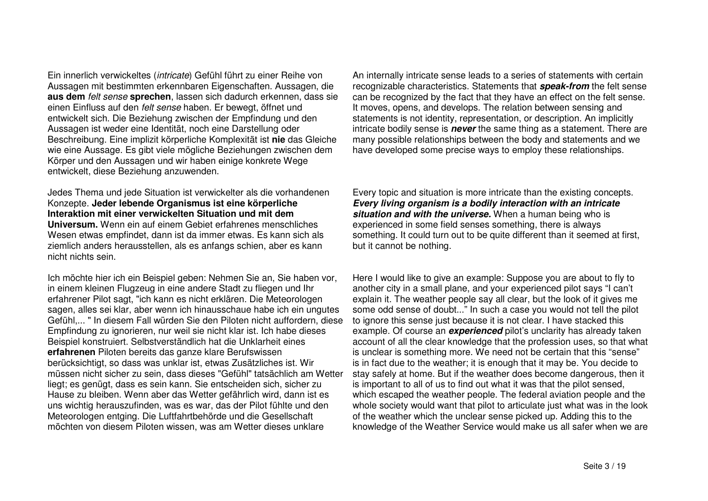Ein innerlich verwickeltes (*intricate*) Gefühl führt zu einer Reihe von Aussagen mit bestimmten erkennbaren Eigenschaften. Aussagen, die **aus dem** *felt sense* **sprechen**, lassen sich dadurch erkennen, dass sie einen Einfluss auf den *felt sense* haben. Er bewegt, öffnet und entwickelt sich. Die Beziehung zwischen der Empfindung und den Aussagen ist weder eine Identität, noch eine Darstellung oder Beschreibung. Eine implizit körperliche Komplexität ist **nie** das Gleiche wie eine Aussage. Es gibt viele mögliche Beziehungen zwischen dem Körper und den Aussagen und wir haben einige konkrete Wege entwickelt, diese Beziehung anzuwenden.

Jedes Thema und jede Situation ist verwickelter als die vorhandenen Konzepte. **Jeder lebende Organismus ist eine körperliche Interaktion mit einer verwickelten Situation und mit demUniversum.** Wenn ein auf einem Gebiet erfahrenes menschliches Wesen etwas empfindet, dann ist da immer etwas. Es kann sich als ziemlich anders herausstellen, als es anfangs schien, aber es kann nicht nichts sein.

Ich möchte hier ich ein Beispiel geben: Nehmen Sie an, Sie haben vor, in einem kleinen Flugzeug in eine andere Stadt zu fliegen und Ihr erfahrener Pilot sagt, "ich kann es nicht erklären. Die Meteorologen sagen, alles sei klar, aber wenn ich hinausschaue habe ich ein ungutes Gefühl,... " In diesem Fall würden Sie den Piloten nicht auffordern, diese Empfindung zu ignorieren, nur weil sie nicht klar ist. Ich habe dieses Beispiel konstruiert. Selbstverständlich hat die Unklarheit eines **erfahrenen** Piloten bereits das ganze klare Berufswissen berücksichtigt, so dass was unklar ist, etwas Zusätzliches ist. Wir müssen nicht sicher zu sein, dass dieses "Gefühl" tatsächlich am Wetter liegt; es genügt, dass es sein kann. Sie entscheiden sich, sicher zu Hause zu bleiben. Wenn aber das Wetter gefährlich wird, dann ist es uns wichtig herauszufinden, was es war, das der Pilot fühlte und den Meteorologen entging. Die Luftfahrtbehörde und die Gesellschaft möchten von diesem Piloten wissen, was am Wetter dieses unklare

An internally intricate sense leads to <sup>a</sup> series of statements with certain recognizable characteristics. Statements that *speak-from* the felt sense can be recognized by the fact that they have an effect on the felt sense. It moves, opens, and develops. The relation between sensing and statements is not identity, representation, or description. An implicitly intricate bodily sense is *never* the same thing as <sup>a</sup> statement. There are many possible relationships between the body and statements and we have developed some precise ways to employ these relationships.

Every topic and situation is more intricate than the existing concepts. *Every living organism is <sup>a</sup> bodily interaction with an intricate situation and with the universe.* When <sup>a</sup> human being who is experienced in some field senses something, there is always something. It could turn out to be quite different than it seemed at first, but it cannot be nothing.

Here I would like to give an example: Suppose you are about to fly to another city in <sup>a</sup> small plane, and your experienced pilot says "I can't explain it. The weather people say all clear, but the look of it gives me some odd sense of doubt..." In such <sup>a</sup> case you would not tell the pilot to ignore this sense just because it is not clear. I have stacked this example. Of course an *experienced* pilot's unclarity has already taken account of all the clear knowledge that the profession uses, so that what is unclear is something more. We need not be certain that this "sense" is in fact due to the weather; it is enough that it may be. You decide to stay safely at home. But if the weather does become dangerous, then it is important to all of us to find out what it was that the pilot sensed, which escaped the weather people. The federal aviation people and the whole society would want that pilot to articulate just what was in the look of the weather which the unclear sense picked up. Adding this to the knowledge of the Weather Service would make us all safer when we are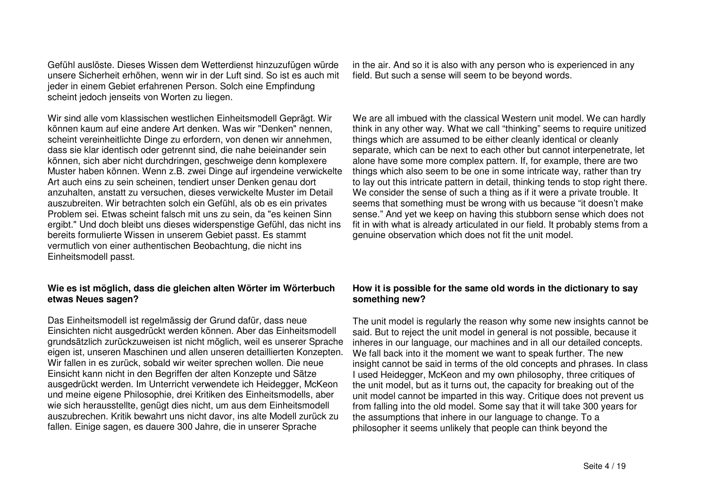Gefühl auslöste. Dieses Wissen dem Wetterdienst hinzuzufügen würde unsere Sicherheit erhöhen, wenn wir in der Luft sind. So ist es auch mit jeder in einem Gebiet erfahrenen Person. Solch eine Empfindung scheint jedoch jenseits von Worten zu liegen.

Wir sind alle vom klassischen westlichen Einheitsmodell Geprägt. Wir können kaum auf eine andere Art denken. Was wir "Denken" nennen, scheint vereinheitlichte Dinge zu erfordern, von denen wir annehmen, dass sie klar identisch oder getrennt sind, die nahe beieinander sein können, sich aber nicht durchdringen, geschweige denn komplexere Muster haben können. Wenn z.B. zwei Dinge auf irgendeine verwickelte Art auch eins zu sein scheinen, tendiert unser Denken genau dort anzuhalten, anstatt zu versuchen, dieses verwickelte Muster im Detail auszubreiten. Wir betrachten solch ein Gefühl, als ob es ein privates Problem sei. Etwas scheint falsch mit uns zu sein, da "es keinen Sinn ergibt." Und doch bleibt uns dieses widerspenstige Gefühl, das nicht ins bereits formulierte Wissen in unserem Gebiet passt. Es stammt vermutlich von einer authentischen Beobachtung, die nicht ins Einheitsmodell passt.

## **Wie es ist möglich, dass die gleichen alten Wörter im Wörterbuch etwas Neues sagen?**

Das Einheitsmodell ist regelmässig der Grund dafür, dass neue Einsichten nicht ausgedrückt werden können. Aber das Einheitsmodell grundsätzlich zurückzuweisen ist nicht möglich, weil es unserer Sprache eigen ist, unseren Maschinen und allen unseren detaillierten Konzepten. Wir fallen in es zurück, sobald wir weiter sprechen wollen. Die neue Einsicht kann nicht in den Begriffen der alten Konzepte und Sätze ausgedrückt werden. Im Unterricht verwendete ich Heidegger, McKeon und meine eigene Philosophie, drei Kritiken des Einheitsmodells, aber wie sich herausstellte, genügt dies nicht, um aus dem Einheitsmodell auszubrechen. Kritik bewahrt uns nicht davor, ins alte Modell zurück zu fallen. Einige sagen, es dauere 300 Jahre, die in unserer Sprache

in the air. And so it is also with any person who is experienced in any field. But such a sense will seem to be beyond words.

We are all imbued with the classical Western unit model. We can hardly think in any other way. What we call "thinking" seems to require unitized things which are assumed to be either cleanly identical or cleanly separate, which can be next to each other but cannot interpenetrate, let alone have some more complex pattern. If, for example, there are two things which also seem to be one in some intricate way, rather than try to lay out this intricate pattern in detail, thinking tends to stop right there. We consider the sense of such <sup>a</sup> thing as if it were <sup>a</sup> private trouble. It seems that something must be wrong with us because "it doesn't make sense." And yet we keep on having this stubborn sense which does not fit in with what is already articulated in our field. It probably stems from <sup>a</sup> genuine observation which does not fit the unit model.

## **How it is possible for the same old words in the dictionary to say something new?**

The unit model is regularly the reason why some new insights cannot be said. But to reject the unit model in general is not possible, because it inheres in our language, our machines and in all our detailed concepts. We fall back into it the moment we want to speak further. The new insight cannot be said in terms of the old concepts and phrases. In class used Heidegger, McKeon and my own philosophy, three critiques of the unit model, but as it turns out, the capacity for breaking out of the unit model cannot be imparted in this way. Critique does not prevent us from falling into the old model. Some say that it will take 300 years for the assumptions that inhere in our language to change. To <sup>a</sup> philosopher it seems unlikely that people can think beyond the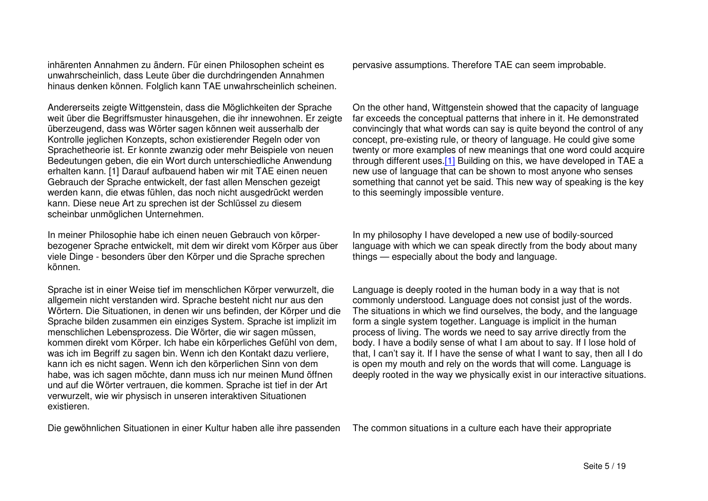inhärenten Annahmen zu ändern. Für einen Philosophen scheint es unwahrscheinlich, dass Leute über die durchdringenden Annahmen hinaus denken können. Folglich kann TAE unwahrscheinlich scheinen.

Andererseits zeigte Wittgenstein, dass die Möglichkeiten der Sprache weit über die Begriffsmuster hinausgehen, die ihr innewohnen. Er zeigte überzeugend, dass was Wörter sagen können weit ausserhalb der Kontrolle jeglichen Konzepts, schon existierender Regeln oder von Sprachetheorie ist. Er konnte zwanzig oder mehr Beispiele von neuen Bedeutungen geben, die ein Wort durch unterschiedliche Anwendung erhalten kann. [1] Darauf aufbauend haben wir mit TAE einen neuen Gebrauch der Sprache entwickelt, der fast allen Menschen gezeigt werden kann, die etwas fühlen, das noch nicht ausgedrückt werden kann. Diese neue Art zu sprechen ist der Schlüssel zu diesem scheinbar unmöglichen Unternehmen.

In meiner Philosophie habe ich einen neuen Gebrauch von körperbezogener Sprache entwickelt, mit dem wir direkt vom Körper aus über viele Dinge - besonders über den Körper und die Sprache sprechen können.

Sprache ist in einer Weise tief im menschlichen Körper verwurzelt, die allgemein nicht verstanden wird. Sprache besteht nicht nur aus den Wörtern. Die Situationen, in denen wir uns befinden, der Körper und die Sprache bilden zusammen ein einziges System. Sprache ist implizit im menschlichen Lebensprozess. Die Wörter, die wir sagen müssen, kommen direkt vom Körper. Ich habe ein körperliches Gefühl von dem, was ich im Begriff zu sagen bin. Wenn ich den Kontakt dazu verliere, kann ich es nicht sagen. Wenn ich den körperlichen Sinn von dem habe, was ich sagen möchte, dann muss ich nur meinen Mund öffnen und auf die Wörter vertrauen, die kommen. Sprache ist tief in der Art verwurzelt, wie wir physisch in unseren interaktiven Situationen existieren.

Die gewöhnlichen Situationen in einer Kultur haben alle ihre passenden The common situations in <sup>a</sup> culture each have their appropriate

pervasive assumptions. Therefore TAE can seem improbable.

On the other hand, Wittgenstein showed that the capacity of language far exceeds the conceptual patterns that inhere in it. He demonstrated convincingly that what words can say is quite beyond the control of any concept, pre-existing rule, or theory of language. He could give some twenty or more examples of new meanings that one word could acquire through different uses.[1] Building on this, we have developed in TAE <sup>a</sup> new use of language that can be shown to most anyone who senses something that cannot yet be said. This new way of speaking is the key to this seemingly impossible venture.

In my philosophy I have developed <sup>a</sup> new use of bodily-sourced language with which we can speak directly from the body about many things — especially about the body and language.

Language is deeply rooted in the human body in <sup>a</sup> way that is not commonly understood. Language does not consist just of the words. The situations in which we find ourselves, the body, and the language form <sup>a</sup> single system together. Language is implicit in the human process of living. The words we need to say arrive directly from the body. I have <sup>a</sup> bodily sense of what I am about to say. If I lose hold of that, I can't say it. If I have the sense of what I want to say, then all I do is open my mouth and rely on the words that will come. Language is deeply rooted in the way we physically exist in our interactive situations.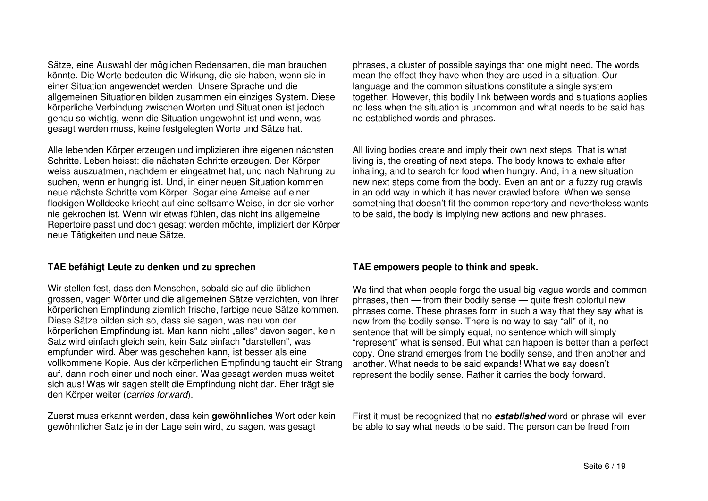Sätze, eine Auswahl der möglichen Redensarten, die man brauchen könnte. Die Worte bedeuten die Wirkung, die sie haben, wenn sie in einer Situation angewendet werden. Unsere Sprache und die allgemeinen Situationen bilden zusammen ein einziges System. Diese körperliche Verbindung zwischen Worten und Situationen ist jedoch genau so wichtig, wenn die Situation ungewohnt ist und wenn, was gesagt werden muss, keine festgelegten Worte und Sätze hat.

Alle lebenden Körper erzeugen und implizieren ihre eigenen nächsten Schritte. Leben heisst: die nächsten Schritte erzeugen. Der Körper weiss auszuatmen, nachdem er eingeatmet hat, und nach Nahrung zu suchen, wenn er hungrig ist. Und, in einer neuen Situation kommen neue nächste Schritte vom Körper. Sogar eine Ameise auf einer flockigen Wolldecke kriecht auf eine seltsame Weise, in der sie vorher nie gekrochen ist. Wenn wir etwas fühlen, das nicht ins allgemeine Repertoire passt und doch gesagt werden möchte, impliziert der Körper neue Tätigkeiten und neue Sätze.

#### **TAE befähigt Leute zu denken und zu sprechen**

Wir stellen fest, dass den Menschen, sobald sie auf die üblichen grossen, vagen Wörter und die allgemeinen Sätze verzichten, von ihrer körperlichen Empfindung ziemlich frische, farbige neue Sätze kommen. Diese Sätze bilden sich so, dass sie sagen, was neu von der körperlichen Empfindung ist. Man kann nicht "alles" davon sagen, kein Satz wird einfach gleich sein, kein Satz einfach "darstellen", was empfunden wird. Aber was geschehen kann, ist besser als eine vollkommene Kopie. Aus der körperlichen Empfindung taucht ein Strang auf, dann noch einer und noch einer. Was gesagt werden muss weitet sich aus! Was wir sagen stellt die Empfindung nicht dar. Eher trägt sie den Körper weiter (*carries forward*).

Zuerst muss erkannt werden, dass kein **gewöhnliches** Wort oder kein gewöhnlicher Satz je in der Lage sein wird, zu sagen, was gesagt

phrases, <sup>a</sup> cluster of possible sayings that one might need. The words mean the effect they have when they are used in <sup>a</sup> situation. Our language and the common situations constitute <sup>a</sup> single system together. However, this bodily link between words and situations applies no less when the situation is uncommon and what needs to be said has no established words and phrases.

All living bodies create and imply their own next steps. That is what living is, the creating of next steps. The body knows to exhale after inhaling, and to search for food when hungry. And, in <sup>a</sup> new situation new next steps come from the body. Even an ant on <sup>a</sup> fuzzy rug crawls in an odd way in which it has never crawled before. When we sense something that doesn't fit the common repertory and nevertheless wants to be said, the body is implying new actions and new phrases.

#### **TAE empowers people to think and speak.**

We find that when people forgo the usual big vague words and common phrases, then — from their bodily sense — quite fresh colorful new phrases come. These phrases form in such <sup>a</sup> way that they say what is new from the bodily sense. There is no way to say "all" of it, no sentence that will be simply equal, no sentence which will simply "represent" what is sensed. But what can happen is better than <sup>a</sup> perfect copy. One strand emerges from the bodily sense, and then another and another. What needs to be said expands! What we say doesn't represent the bodily sense. Rather it carries the body forward.

First it must be recognized that no *established* word or phrase will ever be able to say what needs to be said. The person can be freed from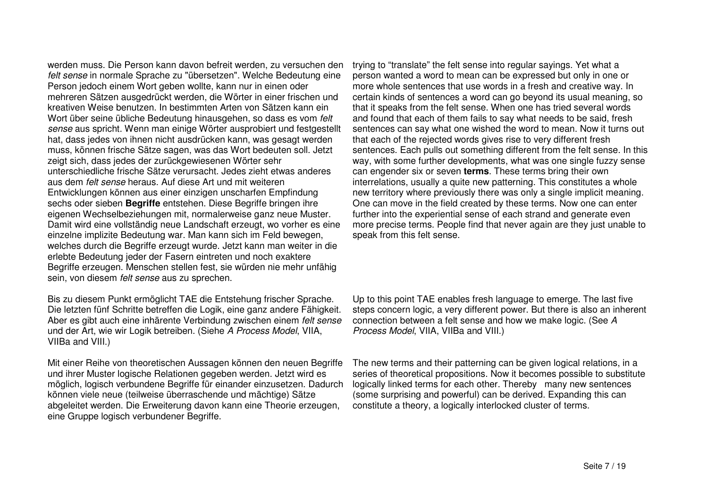werden muss. Die Person kann davon befreit werden, zu versuchen den *felt sense* in normale Sprache zu "übersetzen". Welche Bedeutung eine Person jedoch einem Wort geben wollte, kann nur in einen oder mehreren Sätzen ausgedrückt werden, die Wörter in einer frischen und kreativen Weise benutzen. In bestimmten Arten von Sätzen kann ein Wort über seine übliche Bedeutung hinausgehen, so dass es vom *felt sense* aus spricht. Wenn man einige Wörter ausprobiert und festgestellt hat, dass jedes von ihnen nicht ausdrücken kann, was gesagt werden muss, können frische Sätze sagen, was das Wort bedeuten soll. Jetzt zeigt sich, dass jedes der zurückgewiesenen Wörter sehr unterschiedliche frische Sätze verursacht. Jedes zieht etwas anderes aus dem *felt sense* heraus. Auf diese Art und mit weiteren Entwicklungen können aus einer einzigen unscharfen Empfindung sechs oder sieben **Begriffe** entstehen. Diese Begriffe bringen ihre eigenen Wechselbeziehungen mit, normalerweise ganz neue Muster. Damit wird eine vollständig neue Landschaft erzeugt, wo vorher es eine einzelne implizite Bedeutung war. Man kann sich im Feld bewegen, welches durch die Begriffe erzeugt wurde. Jetzt kann man weiter in die erlebte Bedeutung jeder der Fasern eintreten und noch exaktere Begriffe erzeugen. Menschen stellen fest, sie würden nie mehr unfähig sein, von diesem *felt sense* aus zu sprechen.

Bis zu diesem Punkt ermöglicht TAE die Entstehung frischer Sprache. Die letzten fünf Schritte betreffen die Logik, eine ganz andere Fähigkeit. Aber es gibt auch eine inhärente Verbindung zwischen einem *felt sense* und der Art, wie wir Logik betreiben. (Siehe *A Process Model*, VIIA, VIIBa and VIII.)

Mit einer Reihe von theoretischen Aussagen können den neuen Begriffe und ihrer Muster logische Relationen gegeben werden. Jetzt wird es möglich, logisch verbundene Begriffe für einander einzusetzen. Dadurch können viele neue (teilweise überraschende und mächtige) Sätze abgeleitet werden. Die Erweiterung davon kann eine Theorie erzeugen, eine Gruppe logisch verbundener Begriffe.

trying to "translate" the felt sense into regular sayings. Yet what <sup>a</sup> person wanted <sup>a</sup> word to mean can be expressed but only in one or more whole sentences that use words in <sup>a</sup> fresh and creative way. In certain kinds of sentences <sup>a</sup> word can go beyond its usual meaning, so that it speaks from the felt sense. When one has tried several words and found that each of them fails to say what needs to be said, fresh sentences can say what one wished the word to mean. Now it turns out that each of the rejected words gives rise to very different fresh sentences. Each pulls out something different from the felt sense. In this way, with some further developments, what was one single fuzzy sense can engender six or seven **terms**. These terms bring their own interrelations, usually <sup>a</sup> quite new patterning. This constitutes <sup>a</sup> whole new territory where previously there was only <sup>a</sup> single implicit meaning. One can move in the field created by these terms. Now one can enter further into the experiential sense of each strand and generate even more precise terms. People find that never again are they just unable to speak from this felt sense.

Up to this point TAE enables fresh language to emerge. The last five steps concern logic, <sup>a</sup> very different power. But there is also an inherent connection between a felt sense and how we make logic. (See *A Process Model*, VIIA, VIIBa and VIII.)

The new terms and their patterning can be given logical relations, in <sup>a</sup> series of theoretical propositions. Now it becomes possible to substitute logically linked terms for each other. Thereby many new sentences (some surprising and powerful) can be derived. Expanding this can constitute <sup>a</sup> theory, <sup>a</sup> logically interlocked cluster of terms.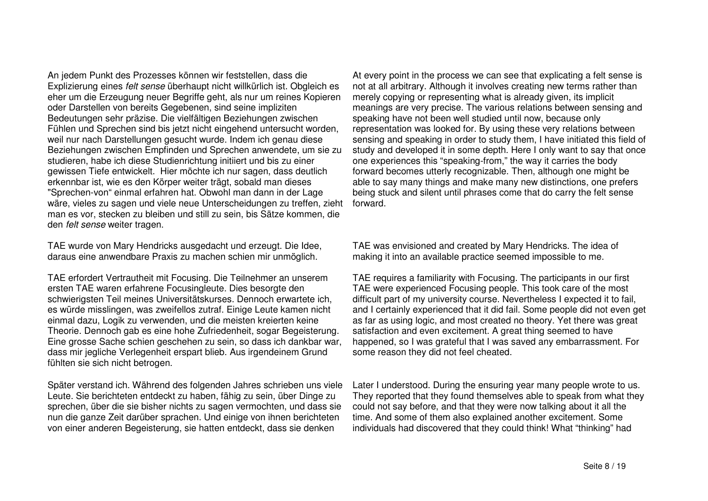An jedem Punkt des Prozesses können wir feststellen, dass die Explizierung eines *felt sense* überhaupt nicht willkürlich ist. Obgleich es eher um die Erzeugung neuer Begriffe geht, als nur um reines Kopieren oder Darstellen von bereits Gegebenen, sind seine impliziten Bedeutungen sehr präzise. Die vielfältigen Beziehungen zwischen Fühlen und Sprechen sind bis jetzt nicht eingehend untersucht worden, weil nur nach Darstellungen gesucht wurde. Indem ich genau diese Beziehungen zwischen Empfinden und Sprechen anwendete, um sie zu studieren, habe ich diese Studienrichtung initiiert und bis zu einer gewissen Tiefe entwickelt. Hier möchte ich nur sagen, dass deutlich erkennbar ist, wie es den Körper weiter trägt, sobald man dieses "Sprechen-von" einmal erfahren hat. Obwohl man dann in der Lage wäre, vieles zu sagen und viele neue Unterscheidungen zu treffen, zieht man es vor, stecken zu bleiben und still zu sein, bis Sätze kommen, die den *felt sense* weiter tragen.

TAE wurde von Mary Hendricks ausgedacht und erzeugt. Die Idee, daraus eine anwendbare Praxis zu machen schien mir unmöglich.

TAE erfordert Vertrautheit mit Focusing. Die Teilnehmer an unserem ersten TAE waren erfahrene Focusingleute. Dies besorgte den schwierigsten Teil meines Universitätskurses. Dennoch erwartete ich, es würde misslingen, was zweifellos zutraf. Einige Leute kamen nicht einmal dazu, Logik zu verwenden, und die meisten kreierten keine Theorie. Dennoch gab es eine hohe Zufriedenheit, sogar Begeisterung. Eine grosse Sache schien geschehen zu sein, so dass ich dankbar war, dass mir jegliche Verlegenheit erspart blieb. Aus irgendeinem Grund fühlten sie sich nicht betrogen.

Später verstand ich. Während des folgenden Jahres schrieben uns viele Leute. Sie berichteten entdeckt zu haben, fähig zu sein, über Dinge zu sprechen, über die sie bisher nichts zu sagen vermochten, und dass sie nun die ganze Zeit darüber sprachen. Und einige von ihnen berichteten von einer anderen Begeisterung, sie hatten entdeckt, dass sie denken

At every point in the process we can see that explicating <sup>a</sup> felt sense is not at all arbitrary. Although it involves creating new terms rather than merely copying or representing what is already given, its implicit meanings are very precise. The various relations between sensing and speaking have not been well studied until now, because only representation was looked for. By using these very relations between sensing and speaking in order to study them, I have initiated this field of study and developed it in some depth. Here I only want to say that once one experiences this "speaking-from," the way it carries the body forward becomes utterly recognizable. Then, although one might be able to say many things and make many new distinctions, one prefers being stuck and silent until phrases come that do carry the felt sense forward.

TAE was envisioned and created by Mary Hendricks. The idea of making it into an available practice seemed impossible to me.

TAE requires <sup>a</sup> familiarity with Focusing. The participants in our first TAE were experienced Focusing people. This took care of the most difficult part of my university course. Nevertheless I expected it to fail, and I certainly experienced that it did fail. Some people did not even get as far as using logic, and most created no theory. Yet there was great satisfaction and even excitement. A great thing seemed to have happened, so I was grateful that I was saved any embarrassment. For some reason they did not feel cheated.

Later I understood. During the ensuring year many people wrote to us. They reported that they found themselves able to speak from what they could not say before, and that they were now talking about it all the time. And some of them also explained another excitement. Some individuals had discovered that they could think! What "thinking" had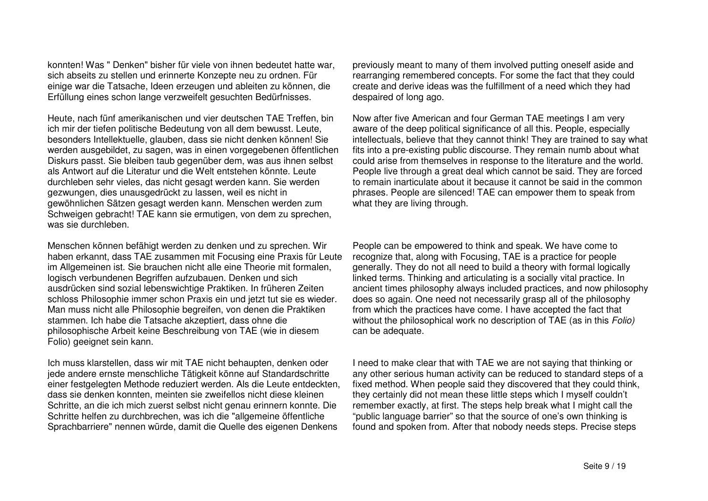konnten! Was " Denken" bisher für viele von ihnen bedeutet hatte war, sich abseits zu stellen und erinnerte Konzepte neu zu ordnen. Für einige war die Tatsache, Ideen erzeugen und ableiten zu können, die Erfüllung eines schon lange verzweifelt gesuchten Bedürfnisses.

Heute, nach fünf amerikanischen und vier deutschen TAE Treffen, bin ich mir der tiefen politische Bedeutung von all dem bewusst. Leute, besonders Intellektuelle, glauben, dass sie nicht denken können! Sie werden ausgebildet, zu sagen, was in einen vorgegebenen öffentlichen Diskurs passt. Sie bleiben taub gegenüber dem, was aus ihnen selbst als Antwort auf die Literatur und die Welt entstehen könnte. Leute durchleben sehr vieles, das nicht gesagt werden kann. Sie werden gezwungen, dies unausgedrückt zu lassen, weil es nicht in gewöhnlichen Sätzen gesagt werden kann. Menschen werden zum Schweigen gebracht! TAE kann sie ermutigen, von dem zu sprechen, was sie durchleben.

Menschen können befähigt werden zu denken und zu sprechen. Wir haben erkannt, dass TAE zusammen mit Focusing eine Praxis für Leute im Allgemeinen ist. Sie brauchen nicht alle eine Theorie mit formalen, logisch verbundenen Begriffen aufzubauen. Denken und sich ausdrücken sind sozial lebenswichtige Praktiken. In früheren Zeiten schloss Philosophie immer schon Praxis ein und jetzt tut sie es wieder. Man muss nicht alle Philosophie begreifen, von denen die Praktiken stammen. Ich habe die Tatsache akzeptiert, dass ohne die philosophische Arbeit keine Beschreibung von TAE (wie in diesem Folio) geeignet sein kann.

Ich muss klarstellen, dass wir mit TAE nicht behaupten, denken oder jede andere ernste menschliche Tätigkeit könne auf Standardschritte einer festgelegten Methode reduziert werden. Als die Leute entdeckten, dass sie denken konnten, meinten sie zweifellos nicht diese kleinen Schritte, an die ich mich zuerst selbst nicht genau erinnern konnte. Die Schritte helfen zu durchbrechen, was ich die "allgemeine öffentliche Sprachbarriere" nennen würde, damit die Quelle des eigenen Denkens previously meant to many of them involved putting oneself aside and rearranging remembered concepts. For some the fact that they could create and derive ideas was the fulfillment of <sup>a</sup> need which they had despaired of long ago.

Now after five American and four German TAE meetings I am very aware of the deep political significance of all this. People, especially intellectuals, believe that they cannot think! They are trained to say what fits into <sup>a</sup> pre-existing public discourse. They remain numb about what could arise from themselves in response to the literature and the world. People live through <sup>a</sup> great deal which cannot be said. They are forced to remain inarticulate about it because it cannot be said in the common phrases. People are silenced! TAE can empower them to speak from what they are living through.

People can be empowered to think and speak. We have come to recognize that, along with Focusing, TAE is <sup>a</sup> practice for people generally. They do not all need to build <sup>a</sup> theory with formal logically linked terms. Thinking and articulating is <sup>a</sup> socially vital practice. In ancient times philosophy always included practices, and now philosophy does so again. One need not necessarily grasp all of the philosophy from which the practices have come. I have accepted the fact that without the philosophical work no description of TAE (as in this *Folio)* can be adequate.

I need to make clear that with TAE we are not saying that thinking or any other serious human activity can be reduced to standard steps of <sup>a</sup> fixed method. When people said they discovered that they could think, they certainly did not mean these little steps which I myself couldn't remember exactly, at first. The steps help break what I might call the "public language barrier" so that the source of one's own thinking is found and spoken from. After that nobody needs steps. Precise steps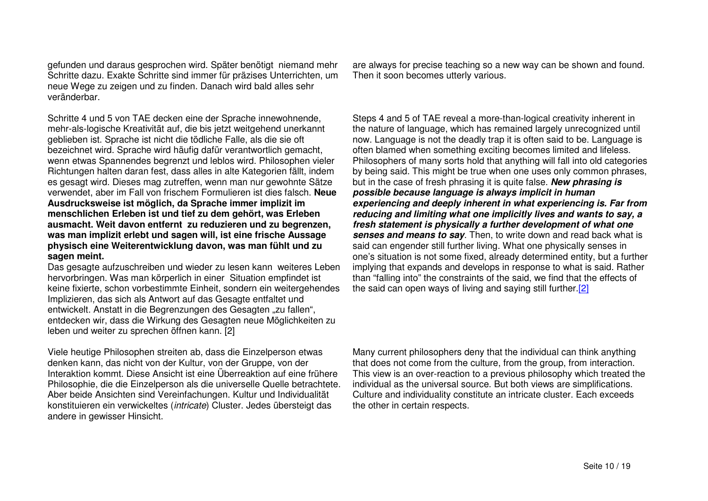gefunden und daraus gesprochen wird. Später benötigt niemand mehr Schritte dazu. Exakte Schritte sind immer für präzises Unterrichten, um neue Wege zu zeigen und zu finden. Danach wird bald alles sehr veränderbar.

Schritte 4 und 5 von TAE decken eine der Sprache innewohnende, mehr-als-logische Kreativität auf, die bis jetzt weitgehend unerkannt geblieben ist. Sprache ist nicht die tödliche Falle, als die sie oft bezeichnet wird. Sprache wird häufig dafür verantwortlich gemacht, wenn etwas Spannendes begrenzt und leblos wird. Philosophen vieler Richtungen halten daran fest, dass alles in alte Kategorien fällt, indem es gesagt wird. Dieses mag zutreffen, wenn man nur gewohnte Sätze verwendet, aber im Fall von frischem Formulieren ist dies falsch. **Neue Ausdrucksweise ist möglich, da Sprache immer implizit im menschlichen Erleben ist und tief zu dem gehört, was Erleben ausmacht. Weit davon entfernt zu reduzieren und zu begrenzen, was man implizit erlebt und sagen will, ist eine frische Aussage physisch eine Weiterentwicklung davon, was man fühlt und zu sagen meint.**

Das gesagte aufzuschreiben und wieder zu lesen kann weiteres Leben hervorbringen. Was man körperlich in einer Situation empfindet ist keine fixierte, schon vorbestimmte Einheit, sondern ein weitergehendes Implizieren, das sich als Antwort auf das Gesagte entfaltet und entwickelt. Anstatt in die Begrenzungen des Gesagten "zu fallen", entdecken wir, dass die Wirkung des Gesagten neue Möglichkeiten zu leben und weiter zu sprechen öffnen kann. [2]

Viele heutige Philosophen streiten ab, dass die Einzelperson etwas denken kann, das nicht von der Kultur, von der Gruppe, von der Interaktion kommt. Diese Ansicht ist eine Überreaktion auf eine frühere Philosophie, die die Einzelperson als die universelle Quelle betrachtete. Aber beide Ansichten sind Vereinfachungen. Kultur und Individualität konstituieren ein verwickeltes (*intricate*) Cluster. Jedes übersteigt das andere in gewisser Hinsicht.

are always for precise teaching so <sup>a</sup> new way can be shown and found. Then it soon becomes utterly various.

Steps 4 and 5 of TAE reveal <sup>a</sup> more-than-logical creativity inherent in the nature of language, which has remained largely unrecognized until now. Language is not the deadly trap it is often said to be. Language is often blamed when something exciting becomes limited and lifeless. Philosophers of many sorts hold that anything will fall into old categories by being said. This might be true when one uses only common phrases, but in the case of fresh phrasing it is quite false. *New phrasing is possible because language is always implicit in human experiencing and deeply inherent in what experiencing is. Far from reducing and limiting what one implicitly lives and wants to say, <sup>a</sup> fresh statement is physically <sup>a</sup> further development of what one senses and means to say*. Then, to write down and read back what is said can engender still further living. What one physically senses in one's situation is not some fixed, already determined entity, but <sup>a</sup> further implying that expands and develops in response to what is said. Rather than "falling into" the constraints of the said, we find that the effects of the said can open ways of living and saying still further.[2]

Many current philosophers deny that the individual can think anything that does not come from the culture, from the group, from interaction. This view is an over-reaction to <sup>a</sup> previous philosophy which treated the individual as the universal source. But both views are simplifications. Culture and individuality constitute an intricate cluster. Each exceeds the other in certain respects.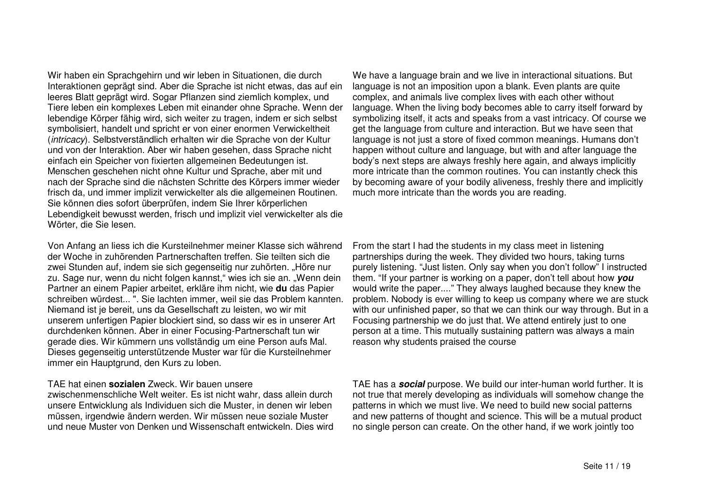Wir haben ein Sprachgehirn und wir leben in Situationen, die durch Interaktionen geprägt sind. Aber die Sprache ist nicht etwas, das auf ein leeres Blatt geprägt wird. Sogar Pflanzen sind ziemlich komplex, und Tiere leben ein komplexes Leben mit einander ohne Sprache. Wenn der lebendige Körper fähig wird, sich weiter zu tragen, indem er sich selbst symbolisiert, handelt und spricht er von einer enormen Verwickeltheit (*intricacy*). Selbstverständlich erhalten wir die Sprache von der Kultur und von der Interaktion. Aber wir haben gesehen, dass Sprache nicht einfach ein Speicher von fixierten allgemeinen Bedeutungen ist. Menschen geschehen nicht ohne Kultur und Sprache, aber mit und nach der Sprache sind die nächsten Schritte des Körpers immer wieder frisch da, und immer implizit verwickelter als die allgemeinen Routinen. Sie können dies sofort überprüfen, indem Sie Ihrer körperlichen Lebendigkeit bewusst werden, frisch und implizit viel verwickelter als die Wörter, die Sie lesen.

Von Anfang an liess ich die Kursteilnehmer meiner Klasse sich während der Woche in zuhörenden Partnerschaften treffen. Sie teilten sich die zwei Stunden auf, indem sie sich gegenseitig nur zuhörten. "Höre nur zu. Sage nur, wenn du nicht folgen kannst," wies ich sie an. "Wenn dein Partner an einem Papier arbeitet, erkläre ihm nicht, wie **du** das Papier schreiben würdest... ". Sie lachten immer, weil sie das Problem kannten. Niemand ist je bereit, uns da Gesellschaft zu leisten, wo wir mit unserem unfertigen Papier blockiert sind, so dass wir es in unserer Art durchdenken können. Aber in einer Focusing-Partnerschaft tun wir gerade dies. Wir kümmern uns vollständig um eine Person aufs Mal. Dieses gegenseitig unterstützende Muster war für die Kursteilnehmer immer ein Hauptgrund, den Kurs zu loben.

#### TAE hat einen **sozialen** Zweck. Wir bauen unsere

zwischenmenschliche Welt weiter. Es ist nicht wahr, dass allein durch unsere Entwicklung als Individuen sich die Muster, in denen wir leben müssen, irgendwie ändern werden. Wir müssen neue soziale Muster und neue Muster von Denken und Wissenschaft entwickeln. Dies wird

We have <sup>a</sup> language brain and we live in interactional situations. But language is not an imposition upon <sup>a</sup> blank. Even plants are quite complex, and animals live complex lives with each other without language. When the living body becomes able to carry itself forward by symbolizing itself, it acts and speaks from <sup>a</sup> vast intricacy. Of course we get the language from culture and interaction. But we have seen that language is not just <sup>a</sup> store of fixed common meanings. Humans don't happen without culture and language, but with and after language the body's next steps are always freshly here again, and always implicitly more intricate than the common routines. You can instantly check this by becoming aware of your bodily aliveness, freshly there and implicitly much more intricate than the words you are reading.

From the start I had the students in my class meet in listening partnerships during the week. They divided two hours, taking turns purely listening. "Just listen. Only say when you don't follow" I instructed them. "If your partner is working on <sup>a</sup> paper, don't tell about how *you* would write the paper...." They always laughed because they knew the problem. Nobody is ever willing to keep us company where we are stuck with our unfinished paper, so that we can think our way through. But in <sup>a</sup> Focusing partnership we do just that. We attend entirely just to one person at <sup>a</sup> time. This mutually sustaining pattern was always <sup>a</sup> main reason why students praised the course

TAE has <sup>a</sup> *social* purpose. We build our inter-human world further. It is not true that merely developing as individuals will somehow change the patterns in which we must live. We need to build new social patterns and new patterns of thought and science. This will be <sup>a</sup> mutual product no single person can create. On the other hand, if we work jointly too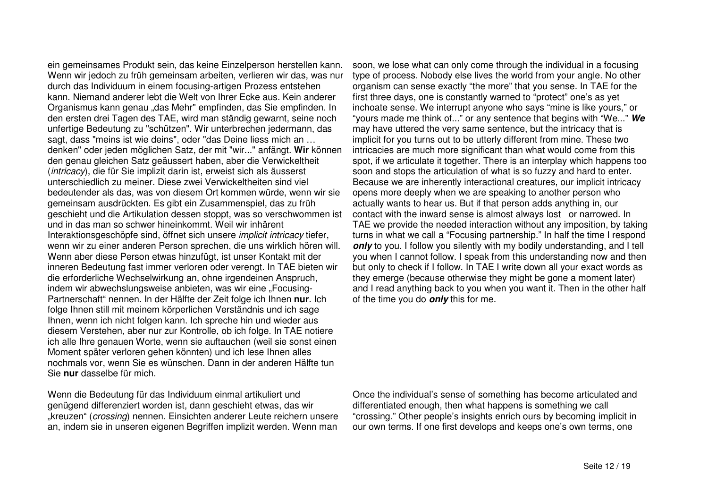ein gemeinsames Produkt sein, das keine Einzelperson herstellen kann. Wenn wir jedoch zu früh gemeinsam arbeiten, verlieren wir das, was nur durch das Individuum in einem focusing-artigen Prozess entstehen kann. Niemand anderer lebt die Welt von Ihrer Ecke aus. Kein anderer Organismus kann genau "das Mehr" empfinden, das Sie empfinden. In den ersten drei Tagen des TAE, wird man ständig gewarnt, seine noch unfertige Bedeutung zu "schützen". Wir unterbrechen jedermann, das sagt, dass "meins ist wie deins", oder "das Deine liess mich an ... denken" oder jeden möglichen Satz, der mit "wir..." anfängt. **Wir** können den genau gleichen Satz geäussert haben, aber die Verwickeltheit (*intricacy*), die für Sie implizit darin ist, erweist sich als äusserst unterschiedlich zu meiner. Diese zwei Verwickeltheiten sind viel bedeutender als das, was von diesem Ort kommen würde, wenn wir sie gemeinsam ausdrückten. Es gibt ein Zusammenspiel, das zu früh geschieht und die Artikulation dessen stoppt, was so verschwommen ist und in dasmansoschwer hineinkommt. Weil wir inhärentInteraktionsgeschöpfe sind, öffnet sich unsere *implicit intricacy* tiefer, wenn wir zu einer anderen Person sprechen, die uns wirklich hören will. Wenn aber diese Person etwas hinzufügt, ist unser Kontakt mit der inneren Bedeutung fast immer verloren oder verengt. In TAE bieten wir die erforderliche Wechselwirkung an, ohne irgendeinen Anspruch, indem wir abwechslungsweise anbieten, was wir eine "Focusing-Partnerschaft" nennen. In der Hälfte der Zeit folge ich Ihnen nur. Ich folge Ihnen still mit meinem körperlichen Verständnis und ich sage lhnen, wenn ich nicht folgen kann. Ich spreche hin und wieder aus diesem Verstehen, aber nur zur Kontrolle, ob ich folge. In TAE notiere ich alle Ihre genauen Worte, wenn sie auftauchen (weil sie sonst einen Moment später verloren gehen könnten) und ich lese Ihnen alles nochmals vor, wenn Sie es wünschen. Dann in der anderen Hälfte tun Sie**nur** dasselbe für mic h.

Wenn die Bedeutung für das Individuum einmal artikuliert und genügend differenziert worden ist, dann geschieht etwas, das wir "kreuzen" (*crossing*) nennen. Einsichten anderer Leute reichern unsere an, indem sie in unseren eigenen Begriffen implizit werden. Wenn man

soon, we lose what can only come through the individual in a focusing type of process. Nobody else lives the world from your angle. No other organism can sense exactly "the more" that you sense. In TAE for the first three days, one is constantly warned to "protect" one's as yet inchoate sense. We interrupt anyone who says "mine is like yours," or "yours made me think of..." or any sentence that begins with "We..." *We* may have uttered the very same sentence, but the intricacy that is implicit for you turns out to be utterly different from mine. These two intricacies are much more significant than what would come from this spot, if we articulate it together. There is an interplay which happens too soon and stops the articulation of what is so fuzzy and hard to enter. Because we are inherently interactional creatures, our implicit intricacy opens more deeply when we are speaking to another person who actually wants to hear us. But if that person adds anything in, our contact with the inward sense is almost always lost or narrowed. In TAE we provide the needed interaction without any imposition, by taking turns in what we call a "Focusing partnership." In half the time I respond only to you. I follow you silently with my bodily understanding, and I tell you when I cannot follow. I speak from this understanding now and then but only to check if I follow. In TAE I write down all your exact words as they emerge (because otherwise they might be gone a moment later) and I read anything back to you when you want it. Then in the other half of the time you do *only* this for me.

Once the individual's sense of something has become articulated and differentiated enough, then what happens is something we call "crossing." Other people's insights enrich ours by becoming implicit in our own terms. If one first develops and keeps one's own terms, one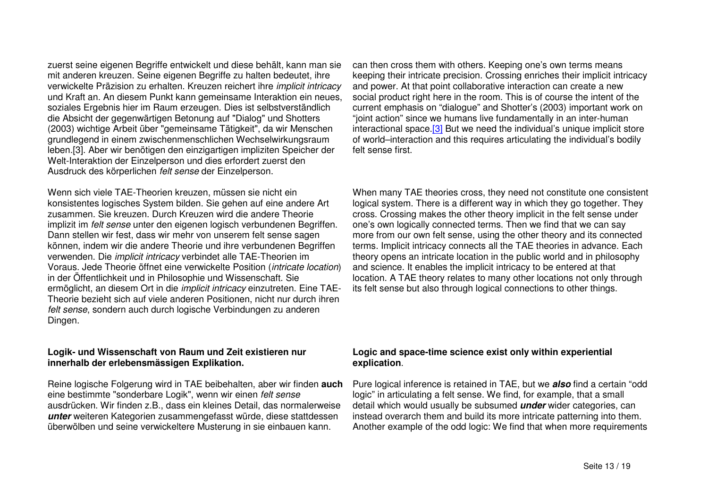zuerst seine eigenen Begriffe entwickelt und diese behält, kann man sie mit anderen kreuzen. Seine eigenen Begriffe zu halten bedeutet, ihre verwickelte Präzision zu erhalten. Kreuzen reichert ihre *implicit intricacy* und Kraft an. An diesem Punkt kann gemeinsame Interaktion ein neues, soziales Ergebnis hier im Raum erzeugen. Dies ist selbstverständlich die Absicht der gegenwärtigen Betonung auf "Dialog" und Shotters (2003) wichtige Arbeit über "gemeinsame Tätigkeit", da wir Menschen grundlegend in einem zwischenmenschlichen Wechselwirkungsraum leben.[3]. Aber wir benötigen den einzigartigen impliziten Speicher der Welt-Interaktion der Einzelperson und dies erfordert zuerst den Ausdruck des körperlichen *felt sense* der Einzelperson.

Wenn sich viele TAE-Theorien kreuzen, müssen sie nicht ein konsistentes logisches System bilden. Sie gehen auf eine andere Art zusammen. Sie kreuzen. Durch Kreuzen wird die andere Theorie implizit im *felt sense* unter den eigenen logisch verbundenen Begriffen. Dann stellen wir fest, dass wir mehr von unserem felt sense sagen können, indem wir die andere Theorie und ihre verbundenen Begriffen verwenden. Die *implicit intricacy* verbindet alle TAE-Theorien im Voraus. Jede Theorie öffnet eine verwickelte Position (*intricate location*) in der Öffentlichkeit und in Philosophie und Wissenschaft. Sie ermöglicht, an diesem Ort in die *implicit intricacy* einzutreten. Eine TAE-Theorie bezieht sich auf viele anderen Positionen, nicht nur durch ihren *felt sense*, sondern auch durch logische Verbindungen zu anderen Dingen.

### **Logik- und Wissenschaft von Raum und Zeit existieren nur innerhalb der erlebensmässigen Explikation.**

Reine logische Folgerung wird in TAE beibehalten, aber wir finden **auch** eine bestimmte "sonderbare Logik", wenn wir einen *felt sense* ausdrücken. Wir finden z.B., dass ein kleines Detail, das normalerweise *unter* weiteren Kategorien zusammengefasst würde, diese stattdessen überwölben und seine verwickeltere Musterung in sie einbauen kann.

can then cross them with others. Keeping one's own terms means keeping their intricate precision. Crossing enriches their implicit intricacy and power. At that point collaborative interaction can create <sup>a</sup> new social product right here in the room. This is of course the intent of the current emphasis on "dialogue" and Shotter's (2003) important work on "joint action" since we humans live fundamentally in an inter-human interactional space.<sup>[3]</sup> But we need the individual's unique implicit store of world–interaction and this requires articulating the individual's bodily felt sense first.

When many TAE theories cross, they need not constitute one consistent logical system. There is <sup>a</sup> different way in which they go together. They cross. Crossing makes the other theory implicit in the felt sense under one's own logically connected terms. Then we find that we can say more from our own felt sense, using the other theory and its connected terms. Implicit intricacy connects all the TAE theories in advance. Each theory opens an intricate location in the public world and in philosophy and science. It enables the implicit intricacy to be entered at that location. A TAE theory relates to many other locations not only through its felt sense but also through logical connections to other things.

## **Logic and space-time science exist only within experiential explication**.

Pure logical inference is retained in TAE, but we *also* find <sup>a</sup> certain "odd logic" in articulating <sup>a</sup> felt sense. We find, for example, that <sup>a</sup> small detail which would usually be subsumed *under* wider categories, can instead overarch them and build its more intricate patterning into them. Another example of the odd logic: We find that when more requirements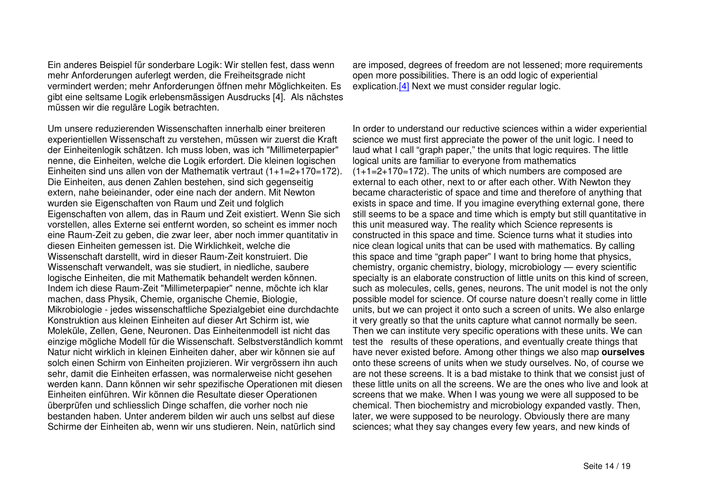Ein anderes Beispiel für sonderbare Logik: Wir stellen fest, dass wenn mehr Anforderungen auferlegt werden, die Freiheitsgrade nicht vermindert werden; mehr Anforderungen öffnen mehr Möglichkeiten. Es gibt eine seltsame Logik erlebensmässigen Ausdrucks [4]. Als nächstes müssen wir die reguläre Logik betrachten.

Um unsere reduzierenden Wissenschaften innerhalb einer breiteren experientiellen Wissenschaft zu verstehen, müssen wir zuerst die Kraft der Einheitenlogik schätzen. Ich muss loben, was ich "Millimeterpapier" nenne, die Einheiten, welche die Logik erfordert. Die kleinen logischen Einheiten sind uns allen von der Mathematik vertraut (1+1=2+170=172). Die Einheiten, aus denen Zahlen bestehen, sind sich gegenseitig extern, nahe beieinander, oder eine nach der andern. Mit Newton wurden sie Eigenschaften von Raum und Zeit und folglich Eigenschaften von allem, das in Raum und Zeit existiert. Wenn Sie sich vorstellen, alles Externe sei entfernt worden, so scheint es immer noch eine Raum-Zeit zu geben, die zwar leer, aber noch immer quantitativ in diesen Einheiten gemessen ist. Die Wirklichkeit, welche die Wissenschaft darstellt, wird in dieser Raum-Zeit konstruiert. DieWissenschaft verwandelt, was sie studiert, in niedliche, saubere logische Einheiten, die mit Mathematik behandelt werden können. Indem ich diese Raum-Zeit "Millimeterpapier" nenne, möchte ich klar machen, dass Physik, Chemie, organische Chemie, Biologie, Mikrobiologie - jedes wissenschaftliche Spezialgebiet eine durchdachte Konstruktion aus kleinen Einheiten auf dieser Art Schirm ist, wie Moleküle, Zellen, Gene, Neuronen. Das Einheitenmodell ist nicht das einzige mögliche Modell für die Wissenschaft. Selbstverständlich kommt Natur nicht wirklich in kleinen Einheiten daher, aber wir können sie auf solch einen Schirm von Einheiten projizieren. Wir vergrössern ihn auch sehr, damit die Einheiten erfassen, was normalerweise nicht gesehen werden kann. Dann können wir sehr spezifische Operationen mit diesen Einheiten einführen. Wir können die Resultate dieser Operationen überprüfen und schliesslich Dinge schaffen, die vorher noch nie bestanden haben. Unter anderem bilden wir auch uns selbst auf diese Schirme der Einheiten ab, wenn wir uns studieren. Nein, natürlich sind

are imposed, degrees of freedom are not lessened; more requirements open more possibilities. There is an odd logic of experiential explication.[4] Next we must consider regular logic.

In order to understand our reductive sciences within a wider experiential science we must first appreciate the power of the unit logic. I need to laud what I call "graph paper," the units that logic requires. The little logical units are familiar to everyone from mathematics (1+1=2+170=172). The units of which numbers are composed are external to each other, next to or after each other. With Newton they became characteristic of space and time and therefore of anything that exists in space and time. If you imagine everything external gone, there still seems to be a space and time which is empty but still quantitative in this unit measured way. The reality which Science represents is constructed in this space and time. Science turns what it studies into nice clean logical units that can be used with mathematics. By calling this space and time "graph paper" I want to bring home that physics, chemistry, organic chemistry, biology, microbiology — every scientific specialty is an elaborate construction of little units on this kind of screen, such as molecules, cells, genes, neurons. The unit model is not the only possible model for science. Of course nature doesn't really come in little units, but we can project it onto such a screen of units. We also enlarge it very greatly so that the units capture what cannot normally be seen. Then we can institute very specific operations with these units. We can test the results of these operations, and eventually create things that have never existed before. Among other things we also map **ourselves** onto these screens of units when we study ourselves. No, of course we are not these screens. It is a bad mistake to think that we consist just of these little units on all the screens. We are the ones who live and look at screens that we make. When I was young we were all supposed to be chemical. Then biochemistry and microbiology expanded vastly. Then, later, we were supposed to be neurology. Obviously there are many sciences; what they say changes every few years, and new kinds of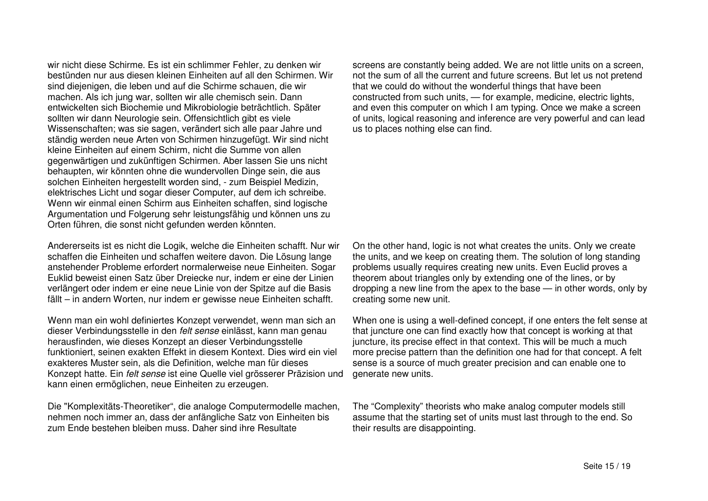wir nicht diese Schirme. Es ist ein schlimmer Fehler, zu denken wir bestünden nur aus diesen kleinen Einheiten auf all den Schirmen. Wir sind diejenigen, die leben und auf die Schirme schauen, die wir machen. Als ich jung war, sollten wir alle chemisch sein. Dann entwickelten sich Biochemie und Mikrobiologie beträchtlich. Später sollten wir dann Neurologie sein. Offensichtlich gibt es viele Wissenschaften; was sie sagen, verändert sich alle paar Jahre und ständig werden neue Arten von Schirmen hinzugefügt. Wir sind nicht kleine Einheiten auf einem Schirm, nicht die Summe von allen gegenwärtigen und zukünftigen Schirmen. Aber lassen Sie uns nicht behaupten, wir könnten ohne die wundervollen Dinge sein, die aus solchen Einheiten hergestellt worden sind, - zum Beispiel Medizin, elektrisches Licht und sogar dieser Computer, auf dem ich schreibe. Wenn wir einmal einen Schirm aus Einheiten schaffen, sind logische Argumentation und Folgerung sehr leistungsfähig und können uns zu Orten führen, die sonst nicht gefunden werden könnten.

Andererseits ist es nicht die Logik, welche die Einheiten schafft. Nur wir schaffen die Einheiten und schaffen weitere davon. Die Lösung lange anstehender Probleme erfordert normalerweise neue Einheiten. Sogar Euklid beweist einen Satz über Dreiecke nur, indem er eine der Linien verlängert oder indem er eine neue Linie von der Spitze auf die Basis fällt – in andern Worten, nur indem er gewisse neue Einheiten schafft.

Wenn man ein wohl definiertes Konzept verwendet, wenn man sich an dieser Verbindungsstelle in den *felt sense* einlässt, kann man genau herausfinden, wie dieses Konzept an dieser Verbindungsstelle funktioniert, seinen exakten Effekt in diesem Kontext. Dies wird ein viel exakteres Muster sein, als die Definition, welche man für dieses Konzept hatte. Ein *felt sense* ist eine Quelle viel grösserer Präzision und kann einen ermöglichen, neue Einheiten zu erzeugen.

Die "Komplexitäts-Theoretiker", die analoge Computermodelle machen, nehmen noch immer an, dass der anfängliche Satz von Einheiten bis zum Ende bestehen bleiben muss. Daher sind ihre Resultate

screens are constantly being added. We are not little units on <sup>a</sup> screen, not the sum of all the current and future screens. But let us not pretend that we could do without the wonderful things that have been constructed from such units, — for example, medicine, electric lights, and even this computer on which I am typing. Once we make <sup>a</sup> screen of units, logical reasoning and inference are very powerful and can lead us to places nothing else can find.

On the other hand, logic is not what creates the units. Only we create the units, and we keep on creating them. The solution of long standing problems usually requires creating new units. Even Euclid proves <sup>a</sup> theorem about triangles only by extending one of the lines, or by dropping <sup>a</sup> new line from the apex to the base — in other words, only by creating some new unit.

When one is using <sup>a</sup> well-defined concept, if one enters the felt sense at that juncture one can find exactly how that concept is working at that juncture, its precise effect in that context. This will be much <sup>a</sup> much more precise pattern than the definition one had for that concept. A felt sense is <sup>a</sup> source of much greater precision and can enable one to generate new units.

The "Complexity" theorists who make analog computer models still assume that the starting set of units must last through to the end. So their results are disappointing.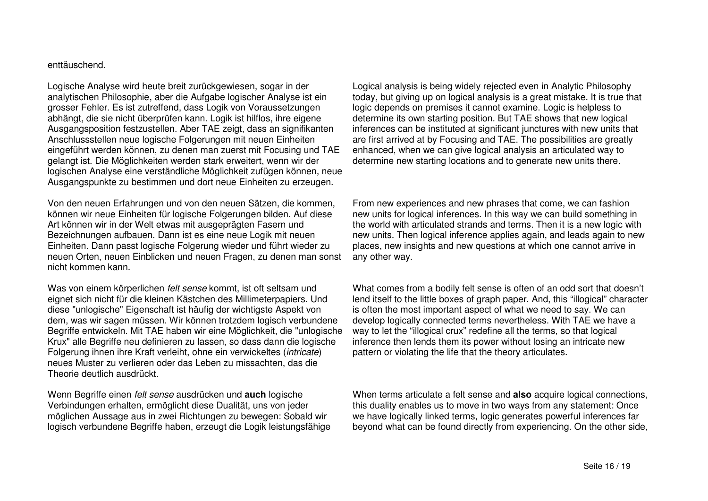#### enttäuschend.

Logische Analyse wird heute breit zurückgewiesen, sogar in der analytischen Philosophie, aber die Aufgabe logischer Analyse ist ein grosser Fehler. Es ist zutreffend, dass Logik von Voraussetzungen abhängt, die sie nicht überprüfen kann. Logik ist hilflos, ihre eigene Ausgangsposition festzustellen. Aber TAE zeigt, dass an signifikanten Anschlussstellen neue logische Folgerungen mit neuen Einheiten eingeführt werden können, zu denen man zuerst mit Focusing und TAE gelangt ist. Die Möglichkeiten werden stark erweitert, wenn wir der logischen Analyse eine verständliche Möglichkeit zufügen können, neue Ausgangspunkte zu bestimmen und dort neue Einheiten zu erzeugen.

Von den neuen Erfahrungen und von den neuen Sätzen, die kommen, können wir neue Einheiten für logische Folgerungen bilden. Auf diese Art können wir in der Welt etwas mit ausgeprägten Fasern und Bezeichnungen aufbauen. Dann ist es eine neue Logik mit neuen Einheiten. Dann passt logische Folgerung wieder und führt wieder zu neuen Orten, neuen Einblicken und neuen Fragen, zu denen man sonst nicht kommen kann.

Was von einem körperlichen *felt sense* kommt, ist oft seltsam und eignet sich nicht für die kleinen Kästchen des Millimeterpapiers. Und diese "unlogische" Eigenschaft ist häufig der wichtigste Aspekt von dem, was wir sagen müssen. Wir können trotzdem logisch verbundene Begriffe entwickeln. Mit TAE haben wir eine Möglichkeit, die "unlogische Krux" alle Begriffe neu definieren zu lassen, so dass dann die logische Folgerung ihnen ihre Kraft verleiht, ohne ein verwickeltes (*intricate*) neues Muster zu verlieren oder das Leben zu missachten, das die Theorie deutlich ausdrückt.

Wenn Begriffe einen *felt sense* ausdrücken und **auch** logische Verbindungen erhalten, ermöglicht diese Dualität, uns von jeder möglichen Aussage aus in zwei Richtungen zu bewegen: Sobald wir logisch verbundene Begriffe haben, erzeugt die Logik leistungsfähige Logical analysis is being widely rejected even in Analytic Philosophy today, but giving up on logical analysis is <sup>a</sup> great mistake. It is true that logic depends on premises it cannot examine. Logic is helpless to determine its own starting position. But TAE shows that new logical inferences can be instituted at significant junctures with new units that are first arrived at by Focusing and TAE. The possibilities are greatly enhanced, when we can give logical analysis an articulated way to determine new starting locations and to generate new units there.

From new experiences and new phrases that come, we can fashion new units for logical inferences. In this way we can build something in the world with articulated strands and terms. Then it is a new logic with new units. Then logical inference applies again, and leads again to new places, new insights and new questions at which one cannot arrive in any other way.

What comes from <sup>a</sup> bodily felt sense is often of an odd sort that doesn't lend itself to the little boxes of graph paper. And, this "illogical" character is often the most important aspect of what we need to say. We can develop logically connected terms nevertheless. With TAE we have <sup>a</sup> way to let the "illogical crux" redefine all the terms, so that logical inference then lends them its power without losing an intricate new pattern or violating the life that the theory articulates.

When terms articulate a felt sense and **also** acquire logical connections, this duality enables us to move in two ways from any statement: Once we have logically linked terms, logic generates powerful inferences far beyond what can be found directly from experiencing. On the other side,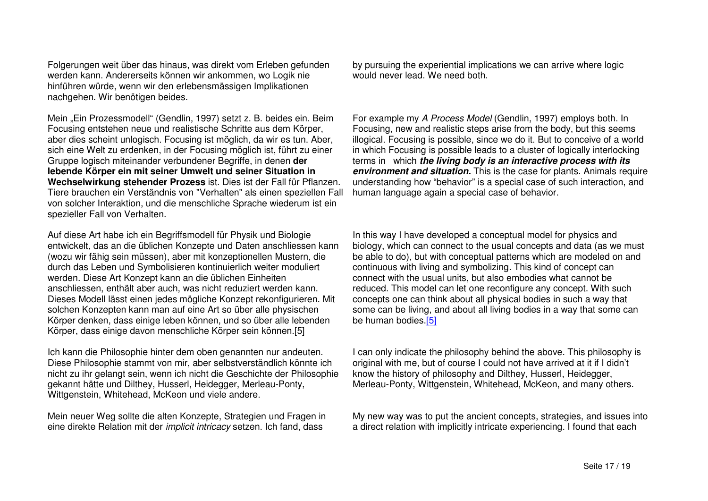Folgerungen weit über das hinaus, was direkt vom Erleben gefunden werden kann. Andererseits können wir ankommen, wo Logik nie hinführen würde, wenn wir den erlebensmässigen Implikationen nachgehen. Wir benötigen beides.

Mein "Ein Prozessmodell" (Gendlin, 1997) setzt z. B. beides ein. Beim Focusing entstehen neue und realistische Schritte aus dem Körper, aber dies scheint unlogisch. Focusing ist möglich, da wir es tun. Aber, sich eine Welt zu erdenken, in der Focusing möglich ist, führt zu einer Gruppe logisch miteinander verbundener Begriffe, in denen **der lebende Körper ein mit seiner Umwelt und seiner Situation in Wechselwirkung stehender Prozess** ist. Dies ist der Fall für Pflanzen. Tiere brauchen ein Verständnis von "Verhalten" als einen speziellen Fall von solcher Interaktion, und die menschliche Sprache wiederum ist ein spezieller Fall von Verhalten.

Auf diese Art habe ich ein Begriffsmodell für Physik und Biologie entwickelt, das an die üblichen Konzepte und Daten anschliessen kann (wozu wir fähig sein müssen), aber mit konzeptionellen Mustern, die durch das Leben und Symbolisieren kontinuierlich weiter moduliert werden. Diese Art Konzept kann an die üblichen Einheiten anschliessen, enthält aber auch, was nicht reduziert werden kann. Dieses Modell lässt einen jedes mögliche Konzept rekonfigurieren. Mit solchen Konzepten kann man auf eine Art so über alle physischen Körper denken, dass einige leben können, und so über alle lebenden Körper, dass einige davon menschliche Körper sein können.[5]

Ich kann die Philosophie hinter dem oben genannten nur andeuten. Diese Philosophie stammt von mir, aber selbstverständlich könnte ich nicht zu ihr gelangt sein, wenn ich nicht die Geschichte der Philosophie gekannt hätte und Dilthey, Husserl, Heidegger, Merleau-Ponty, Wittgenstein, Whitehead, McKeon und viele andere.

Mein neuer Weg sollte die alten Konzepte, Strategien und Fragen in eine direkte Relation mit der *implicit intricacy* setzen. Ich fand, dass

by pursuing the experiential implications we can arrive where logic would never lead. We need both.

For example my *A Process Model* (Gendlin, 1997) employs both. In Focusing, new and realistic steps arise from the body, but this seems illogical. Focusing is possible, since we do it. But to conceive of <sup>a</sup> world in which Focusing is possible leads to <sup>a</sup> cluster of logically interlocking terms in which *the living body is an interactive process with its environment and situation.* This is the case for plants. Animals require understanding how "behavior" is <sup>a</sup> special case of such interaction, and human language again <sup>a</sup> special case of behavior.

In this way I have developed <sup>a</sup> conceptual model for physics and biology, which can connect to the usual concepts and data (as we must be able to do), but with conceptual patterns which are modeled on and continuous with living and symbolizing. This kind of concept can connect with the usual units, but also embodies what cannot be reduced. This model can let one reconfigure any concept. With such concepts one can think about all physical bodies in such <sup>a</sup> way that some can be living, and about all living bodies in <sup>a</sup> way that some can be human bodies.[<u>5</u>]

II can only indicate the philosophy behind the above. This philosophy is original with me, but of course I could not have arrived at it if I didn't know the history of philosophy and Dilthey, Husserl, Heidegger, Merleau-Ponty, Wittgenstein, Whitehead, McKeon, and many others.

My new way was to put the ancient concepts, strategies, and issues into a direct relation with implicitly intricate experiencing. I found that each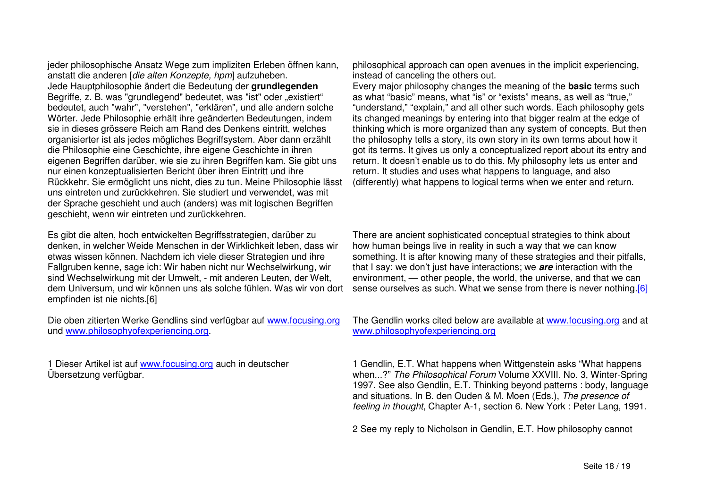jeder philosophische Ansatz Wege zum impliziten Erleben öffnen kann, anstatt die anderen [*die alten Konzepte, hpm*] aufzuheben. Jede Hauptphilosophie ändert die Bedeutung der **grundlegenden** Begriffe, z. B. was "grundlegend" bedeutet, was "ist" oder "existiert" bedeutet, auch "wahr", "verstehen", "erklären", und alle andern solche Wörter. Jede Philosophie erhält ihre geänderten Bedeutungen, indem sie in dieses grössere Reich am Rand des Denkens eintritt, welches organisierter ist als jedes mögliches Begriffsystem. Aber dann erzählt die Philosophie eine Geschichte, ihre eigene Geschichte in ihren eigenen Begriffen darüber, wie sie zu ihren Begriffen kam. Sie gibt uns nur einen konzeptualisierten Bericht über ihren Eintritt und ihre Rückkehr. Sie ermöglicht uns nicht, dies zu tun. Meine Philosophie lässt uns eintreten und zurückkehren. Sie studiert und verwendet, was mit der Sprache geschieht und auch (anders) was mit logischen Begriffen geschieht, wenn wir eintreten und zurückkehren.

Es gibt die alten, hoch entwickelten Begriffsstrategien, darüber zu denken, in welcher Weide Menschen in der Wirklichkeit leben, dass wir etwas wissen können. Nachdem ich viele dieser Strategien und ihre Fallgruben kenne, sage ich: Wir haben nicht nur Wechselwirkung, wir sind Wechselwirkung mit der Umwelt, - mit anderen Leuten, der Welt, dem Universum, und wir können uns als solche fühlen. Was wir von dort empfinden ist nie nichts.[6]

Die oben zitierten Werke Gendlins sind verfügbar auf www.focusing.org und www.philosophyofexperiencing.org.

1 Dieser Artikel ist auf www.focusing.org auch in deutscher Übersetzung verfügbar.

philosophical approach can open avenues in the implicit experiencing, instead of canceling the others out.

Every major philosophy changes the meaning of the **basic** terms such as what "basic" means, what "is" or "exists" means, as well as "true," "understand," "explain," and all other such words. Each philosophy gets its changed meanings by entering into that bigger realm at the edge of thinking which is more organized than any system of concepts. But then the philosophy tells <sup>a</sup> story, its own story in its own terms about how it got its terms. It gives us only <sup>a</sup> conceptualized report about its entry and return. It doesn't enable us to do this. My philosophy lets us enter and return. It studies and uses what happens to language, and also (differently) what happens to logical terms when we enter and return.

There are ancient sophisticated conceptual strategies to think about how human beings live in reality in such <sup>a</sup> way that we can know something. It is after knowing many of these strategies and their pitfalls, that I say: we don't just have interactions; we *are* interaction with the environment, — other people, the world, the universe, and that we can sense ourselves as such. What we sense from there is never nothing.[6]

The Gendlin works cited below are available at www.focusing.org and at www.philosophyofexperiencing.org

1 Gendlin, E.T. What happens when Wittgenstein asks "What happens when...?" *The Philosophical Forum* Volume XXVIII. No. 3, Winter-Spring 1997. See also Gendlin, E.T. Thinking beyond patterns : body, language and situations. In B. den Ouden & M. Moen (Eds.), *The presence of feeling in thought*, Chapter A-1, section 6. New York : Peter Lang, 1991.

2 See my reply to Nicholson in Gendlin, E.T. How philosophy cannot